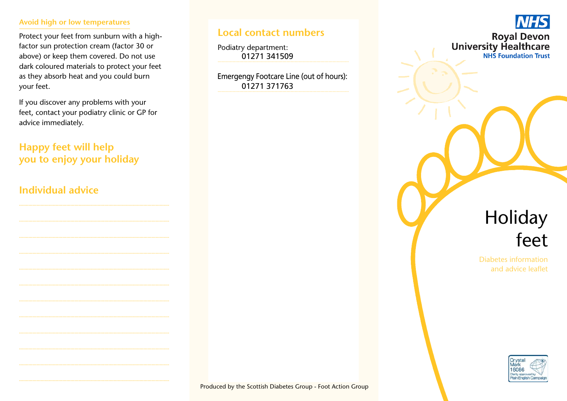#### **Avoid high or low temperatures**

Protect your feet from sunburn with a highfactor sun protection cream (factor 30 or above) or keep them covered. Do not use dark coloured materials to protect your feet as they absorb heat and you could burn your feet.

If you discover any problems with your feet, contact your podiatry clinic or GP for advice immediately.

# **Happy feet will help you to enjoy your holiday**

## **Individual advice**

## **Local contact numbers**

Podiatry department: 01271 341509

Emergengy Footcare Line (out of hours): 01271 371763



# Holiday feet

Diabetes information and advice leaflet